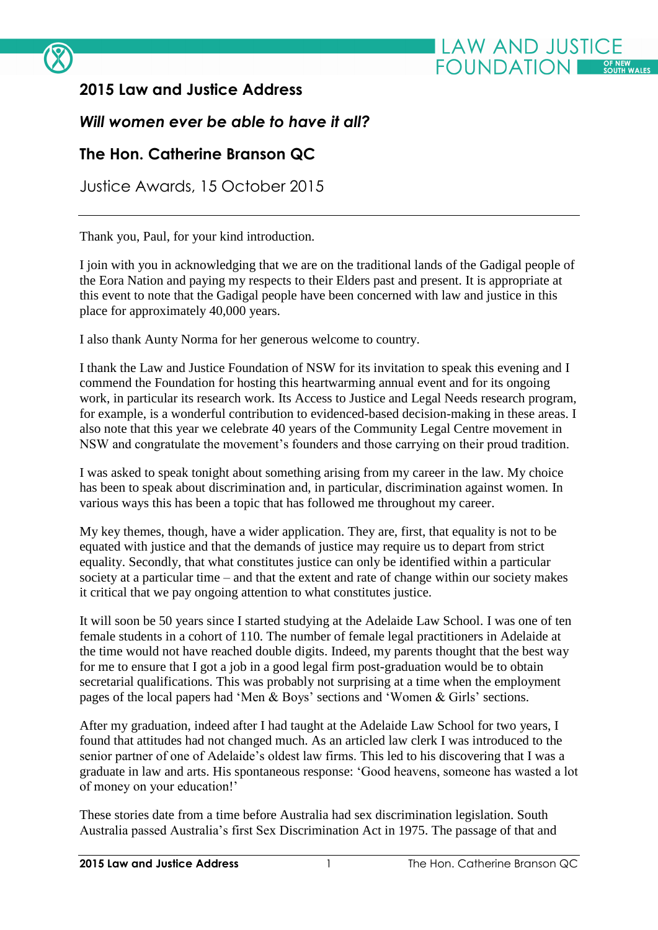

## **2015 Law and Justice Address**

## *Will women ever be able to have it all?*

## **The Hon. Catherine Branson QC**

Justice Awards, 15 October 2015

Thank you, Paul, for your kind introduction.

I join with you in acknowledging that we are on the traditional lands of the Gadigal people of the Eora Nation and paying my respects to their Elders past and present. It is appropriate at this event to note that the Gadigal people have been concerned with law and justice in this place for approximately 40,000 years.

I also thank Aunty Norma for her generous welcome to country.

I thank the Law and Justice Foundation of NSW for its invitation to speak this evening and I commend the Foundation for hosting this heartwarming annual event and for its ongoing work, in particular its research work. Its Access to Justice and Legal Needs research program, for example, is a wonderful contribution to evidenced-based decision-making in these areas. I also note that this year we celebrate 40 years of the Community Legal Centre movement in NSW and congratulate the movement's founders and those carrying on their proud tradition.

I was asked to speak tonight about something arising from my career in the law. My choice has been to speak about discrimination and, in particular, discrimination against women. In various ways this has been a topic that has followed me throughout my career.

My key themes, though, have a wider application. They are, first, that equality is not to be equated with justice and that the demands of justice may require us to depart from strict equality. Secondly, that what constitutes justice can only be identified within a particular society at a particular time – and that the extent and rate of change within our society makes it critical that we pay ongoing attention to what constitutes justice.

It will soon be 50 years since I started studying at the Adelaide Law School. I was one of ten female students in a cohort of 110. The number of female legal practitioners in Adelaide at the time would not have reached double digits. Indeed, my parents thought that the best way for me to ensure that I got a job in a good legal firm post-graduation would be to obtain secretarial qualifications. This was probably not surprising at a time when the employment pages of the local papers had 'Men & Boys' sections and 'Women & Girls' sections.

After my graduation, indeed after I had taught at the Adelaide Law School for two years, I found that attitudes had not changed much. As an articled law clerk I was introduced to the senior partner of one of Adelaide's oldest law firms. This led to his discovering that I was a graduate in law and arts. His spontaneous response: 'Good heavens, someone has wasted a lot of money on your education!'

These stories date from a time before Australia had sex discrimination legislation. South Australia passed Australia's first Sex Discrimination Act in 1975. The passage of that and

**LAW AND JUSTICE** 

**FOUNDATION**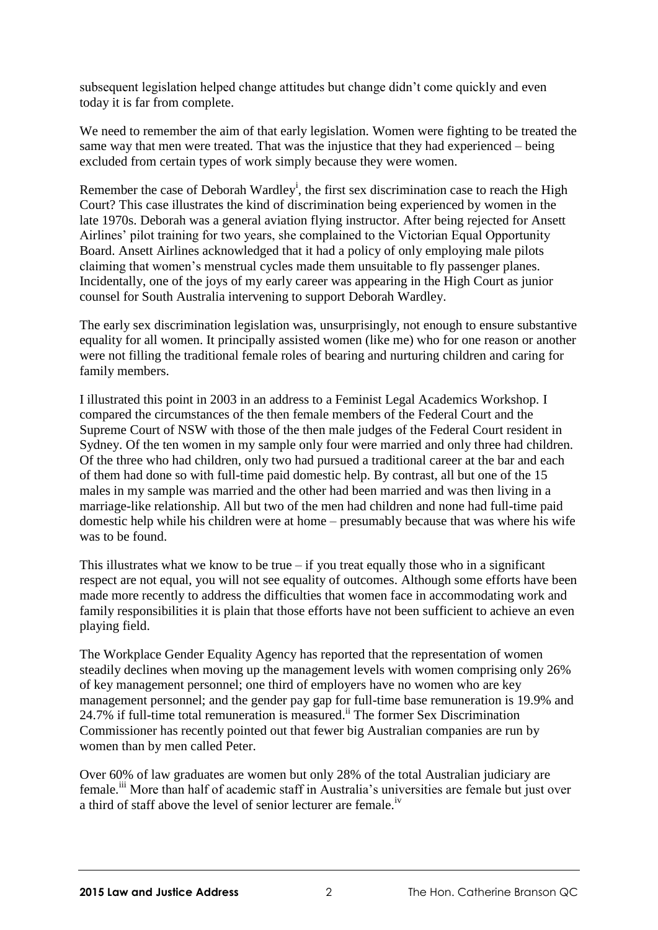subsequent legislation helped change attitudes but change didn't come quickly and even today it is far from complete.

We need to remember the aim of that early legislation. Women were fighting to be treated the same way that men were treated. That was the injustice that they had experienced – being excluded from certain types of work simply because they were women.

Remember the case of Deborah Wardley<sup>i</sup>, the first sex discrimination case to reach the High Court? This case illustrates the kind of discrimination being experienced by women in the late 1970s. Deborah was a general aviation flying instructor. After being rejected for Ansett Airlines' pilot training for two years, she complained to the Victorian Equal Opportunity Board. Ansett Airlines acknowledged that it had a policy of only employing male pilots claiming that women's menstrual cycles made them unsuitable to fly passenger planes. Incidentally, one of the joys of my early career was appearing in the High Court as junior counsel for South Australia intervening to support Deborah Wardley.

The early sex discrimination legislation was, unsurprisingly, not enough to ensure substantive equality for all women. It principally assisted women (like me) who for one reason or another were not filling the traditional female roles of bearing and nurturing children and caring for family members.

I illustrated this point in 2003 in an address to a Feminist Legal Academics Workshop. I compared the circumstances of the then female members of the Federal Court and the Supreme Court of NSW with those of the then male judges of the Federal Court resident in Sydney. Of the ten women in my sample only four were married and only three had children. Of the three who had children, only two had pursued a traditional career at the bar and each of them had done so with full-time paid domestic help. By contrast, all but one of the 15 males in my sample was married and the other had been married and was then living in a marriage-like relationship. All but two of the men had children and none had full-time paid domestic help while his children were at home – presumably because that was where his wife was to be found.

This illustrates what we know to be true  $-$  if you treat equally those who in a significant respect are not equal, you will not see equality of outcomes. Although some efforts have been made more recently to address the difficulties that women face in accommodating work and family responsibilities it is plain that those efforts have not been sufficient to achieve an even playing field.

The Workplace Gender Equality Agency has reported that the representation of women steadily declines when moving up the management levels with women comprising only 26% of key management personnel; one third of employers have no women who are key management personnel; and the gender pay gap for full-time base remuneration is 19.9% and 24.7% if full-time total remuneration is measured. ii The former Sex Discrimination Commissioner has recently pointed out that fewer big Australian companies are run by women than by men called Peter.

Over 60% of law graduates are women but only 28% of the total Australian judiciary are female.<sup>iii</sup> More than half of academic staff in Australia's universities are female but just over a third of staff above the level of senior lecturer are female.<sup>iv</sup>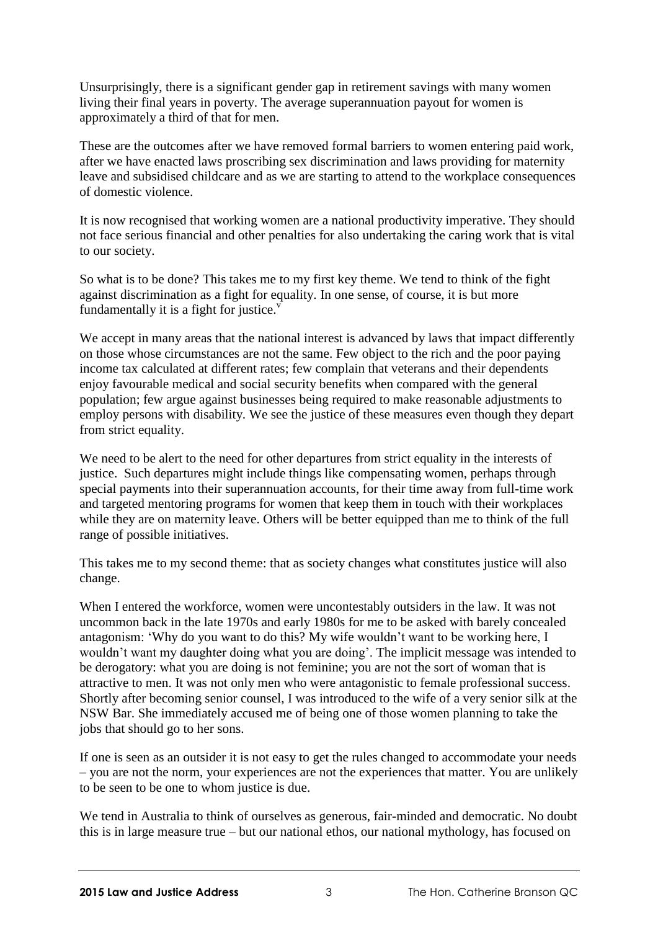Unsurprisingly, there is a significant gender gap in retirement savings with many women living their final years in poverty. The average superannuation payout for women is approximately a third of that for men.

These are the outcomes after we have removed formal barriers to women entering paid work, after we have enacted laws proscribing sex discrimination and laws providing for maternity leave and subsidised childcare and as we are starting to attend to the workplace consequences of domestic violence.

It is now recognised that working women are a national productivity imperative. They should not face serious financial and other penalties for also undertaking the caring work that is vital to our society.

So what is to be done? This takes me to my first key theme. We tend to think of the fight against discrimination as a fight for equality. In one sense, of course, it is but more fundamentally it is a fight for justice. $\overline{v}$ 

We accept in many areas that the national interest is advanced by laws that impact differently on those whose circumstances are not the same. Few object to the rich and the poor paying income tax calculated at different rates; few complain that veterans and their dependents enjoy favourable medical and social security benefits when compared with the general population; few argue against businesses being required to make reasonable adjustments to employ persons with disability. We see the justice of these measures even though they depart from strict equality.

We need to be alert to the need for other departures from strict equality in the interests of justice. Such departures might include things like compensating women, perhaps through special payments into their superannuation accounts, for their time away from full-time work and targeted mentoring programs for women that keep them in touch with their workplaces while they are on maternity leave. Others will be better equipped than me to think of the full range of possible initiatives.

This takes me to my second theme: that as society changes what constitutes justice will also change.

When I entered the workforce, women were uncontestably outsiders in the law. It was not uncommon back in the late 1970s and early 1980s for me to be asked with barely concealed antagonism: 'Why do you want to do this? My wife wouldn't want to be working here, I wouldn't want my daughter doing what you are doing'. The implicit message was intended to be derogatory: what you are doing is not feminine; you are not the sort of woman that is attractive to men. It was not only men who were antagonistic to female professional success. Shortly after becoming senior counsel, I was introduced to the wife of a very senior silk at the NSW Bar. She immediately accused me of being one of those women planning to take the jobs that should go to her sons.

If one is seen as an outsider it is not easy to get the rules changed to accommodate your needs – you are not the norm, your experiences are not the experiences that matter. You are unlikely to be seen to be one to whom justice is due.

We tend in Australia to think of ourselves as generous, fair-minded and democratic. No doubt this is in large measure true – but our national ethos, our national mythology, has focused on